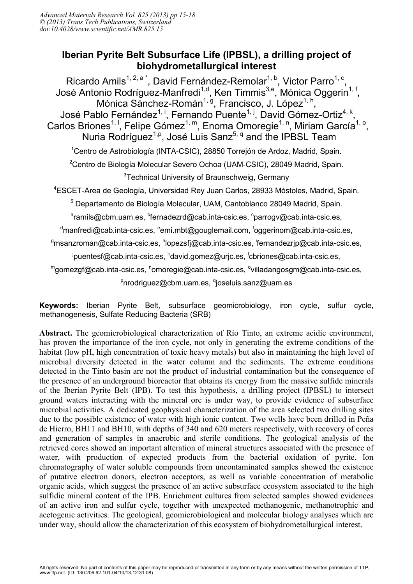# **Iberian Pyrite Belt Subsurface Life (IPBSL), a drilling project of biohydrometallurgical interest**

Ricardo Amils<sup>1, 2, a\*</sup>, David Fernández-Remolar<sup>1, b</sup>, Victor Parro<sup>1, c</sup>, José Antonio Rodríguez-Manfredi<sup>1,d</sup>, Ken Timmis<sup>3,e</sup>, Mónica Oggerin<sup>1, f</sup>, Mónica Sánchez-Román<sup>1, g</sup>, Francisco, J. López<sup>1, h</sup>, , José Pablo Fernández<sup>1, i</sup>, Fernando Puente<sup>1, j</sup>, David Gómez-Ortiz<sup>4, k</sup>, Carlos Briones<sup>1, I</sup>, Felipe Gómez<sup>1, m</sup>, Enoma Omoregie<sup>1, n</sup>, Miriam García<sup>1, o</sup>, Nuria Rodríguez<sup>1,p</sup>, José Luis Sanz<sup>5, q</sup> and the IPBSL Team <sup>1</sup>Centro de Astrobiología (INTA-CSIC), 28850 Torrejón de Ardoz, Madrid, Spain. <sup>2</sup>Centro de Biología Molecular Severo Ochoa (UAM-CSIC), 28049 Madrid, Spain. <sup>3</sup>Technical University of Braunschweig, Germany <sup>4</sup>ESCET-Area de Geología, Universidad Rey Juan Carlos, 28933 Móstoles, Madrid, Spain. 5 Departamento de Biología Molecular, UAM, Cantoblanco 28049 Madrid, Spain. <sup>a</sup>ramils@cbm.uam.es, <sup>b</sup>fernadezrd@cab.inta-csic.es, <sup>c</sup>parrogv@cab.inta-csic.es,  $^{\mathsf{d}}$ manfredi@cab.inta-csic.es,  $^{\mathsf{e}}$ emi.mbt@gouglemail.com,  $^{\mathsf{f}}$ oggerinom@cab.inta-csic.es, <sup>g</sup>msanzroman@cab.inta-csic.es, <sup>h</sup>lopezsfj@cab.inta-csic.es, <sup>i</sup>fernandezrjp@cab.inta-csic.es,  $\dot{\theta}$ puentesf@cab.inta-csic.es,  $^{\text{k}}$ david.gomez@urjc.es,  $^{\text{l}}$ cbriones@cab.inta-csic.es, <sup>m</sup>gomezgf@cab.inta-csic.es, <sup>n</sup>omoregie@cab.inta-csic.es, <sup>o</sup>villadangosgm@cab.inta-csic.es, <sup>p</sup>nrodriguez@cbm.uam.es, <sup>q</sup>joseluis.sanz@uam.es

**Keywords:** Iberian Pyrite Belt, subsurface geomicrobiology, iron cycle, sulfur cycle, methanogenesis, Sulfate Reducing Bacteria (SRB)

**Abstract.** The geomicrobiological characterization of Río Tinto, an extreme acidic environment, has proven the importance of the iron cycle, not only in generating the extreme conditions of the habitat (low pH, high concentration of toxic heavy metals) but also in maintaining the high level of microbial diversity detected in the water column and the sediments. The extreme conditions detected in the Tinto basin are not the product of industrial contamination but the consequence of the presence of an underground bioreactor that obtains its energy from the massive sulfide minerals of the Iberian Pyrite Belt (IPB). To test this hypothesis, a drilling project (IPBSL) to intersect ground waters interacting with the mineral ore is under way, to provide evidence of subsurface microbial activities. A dedicated geophysical characterization of the area selected two drilling sites due to the possible existence of water with high ionic content. Two wells have been drilled in Peña de Hierro, BH11 and BH10, with depths of 340 and 620 meters respectively, with recovery of cores and generation of samples in anaerobic and sterile conditions. The geological analysis of the retrieved cores showed an important alteration of mineral structures associated with the presence of water, with production of expected products from the bacterial oxidation of pyrite. Ion chromatography of water soluble compounds from uncontaminated samples showed the existence of putative electron donors, electron acceptors, as well as variable concentration of metabolic organic acids, which suggest the presence of an active subsurface ecosystem associated to the high sulfidic mineral content of the IPB. Enrichment cultures from selected samples showed evidences of an active iron and sulfur cycle, together with unexpected methanogenic, methanotrophic and acetogenic activities. The geological, geomicrobiological and molecular biology analyses which are under way, should allow the characterization of this ecosystem of biohydrometallurgical interest.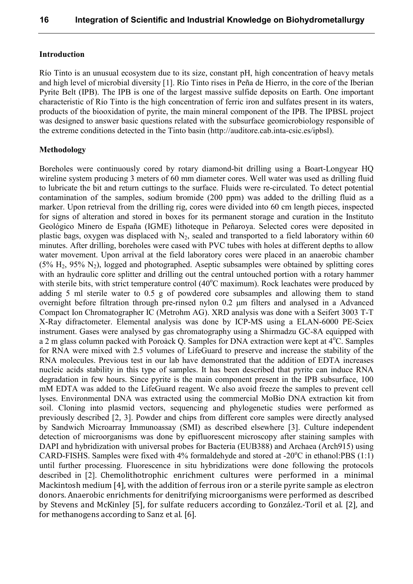### **Introduction**

Río Tinto is an unusual ecosystem due to its size, constant pH, high concentration of heavy metals and high level of microbial diversity [1]. Río Tinto rises in Peña de Hierro, in the core of the Iberian Pyrite Belt (IPB). The IPB is one of the largest massive sulfide deposits on Earth. One important characteristic of Río Tinto is the high concentration of ferric iron and sulfates present in its waters, products of the biooxidation of pyrite, the main mineral component of the IPB. The IPBSL project was designed to answer basic questions related with the subsurface geomicrobiology responsible of the extreme conditions detected in the Tinto basin (http://auditore.cab.inta-csic.es/ipbsl).

## **Methodology**

Boreholes were continuously cored by rotary diamond-bit drilling using a Boart-Longyear HQ wireline system producing 3 meters of 60 mm diameter cores. Well water was used as drilling fluid to lubricate the bit and return cuttings to the surface. Fluids were re-circulated. To detect potential contamination of the samples, sodium bromide (200 ppm) was added to the drilling fluid as a marker. Upon retrieval from the drilling rig, cores were divided into 60 cm length pieces, inspected for signs of alteration and stored in boxes for its permanent storage and curation in the Instituto Geológico Minero de España (IGME) lithoteque in Peñaroya. Selected cores were deposited in plastic bags, oxygen was displaced with  $N_2$ , sealed and transported to a field laboratory within 60 minutes. After drilling, boreholes were cased with PVC tubes with holes at different depths to allow water movement. Upon arrival at the field laboratory cores were placed in an anaerobic chamber  $(5\%$  H<sub>2</sub>,  $95\%$  N<sub>2</sub>), logged and photographed. Aseptic subsamples were obtained by splitting cores with an hydraulic core splitter and drilling out the central untouched portion with a rotary hammer with sterile bits, with strict temperature control  $(40^{\circ}$ C maximum). Rock leachates were produced by adding 5 ml sterile water to 0.5 g of powdered core subsamples and allowing them to stand overnight before filtration through pre-rinsed nylon 0.2 µm filters and analysed in a Advanced Compact Ion Chromatographer IC (Metrohm AG). XRD analysis was done with a Seifert 3003 T-T X-Ray difractometer. Elemental analysis was done by ICP-MS using a ELAN-6000 PE-Sciex instrument. Gases were analysed by gas chromatography using a Shirmadzu GC-8A equipped with a 2 m glass column packed with Poroàck Q. Samples for DNA extraction were kept at 4<sup>o</sup>C. Samples for RNA were mixed with 2.5 volumes of LifeGuard to preserve and increase the stability of the RNA molecules. Previous test in our lab have demonstrated that the addition of EDTA increases nucleic acids stability in this type of samples. It has been described that pyrite can induce RNA degradation in few hours. Since pyrite is the main component present in the IPB subsurface, 100 mM EDTA was added to the LifeGuard reagent. We also avoid freeze the samples to prevent cell lyses. Environmental DNA was extracted using the commercial MoBio DNA extraction kit from soil. Cloning into plasmid vectors, sequencing and phylogenetic studies were performed as previously described [2, 3]. Powder and chips from different core samples were directly analysed by Sandwich Microarray Immunoassay (SMI) as described elsewhere [3]. Culture independent detection of microorganisms was done by epifluorescent microscopy after staining samples with DAPI and hybridization with universal probes for Bacteria (EUB388) and Archaea (Arch915) using CARD-FISHS. Samples were fixed with 4% formaldehyde and stored at  $-20^{\circ}$ C in ethanol:PBS (1:1) until further processing. Fluorescence in situ hybridizations were done following the protocols described in [2]. Chemolithotrophic enrichment cultures were performed in a minimal Mackintosh medium [4], with the addition of ferrous iron or a sterile pyrite sample as electron donors. Anaerobic enrichments for denitrifying microorganisms were performed as described by Stevens and McKinley [5], for sulfate reducers according to González.-Toril et al. [2], and for methanogens according to Sanz et al. [6].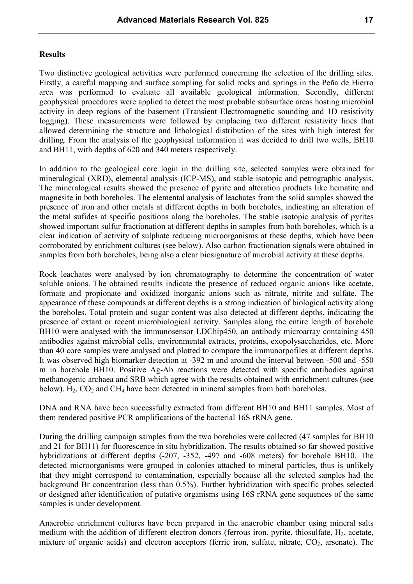# **Results**

Two distinctive geological activities were performed concerning the selection of the drilling sites. Firstly, a careful mapping and surface sampling for solid rocks and springs in the Peña de Hierro area was performed to evaluate all available geological information. Secondly, different geophysical procedures were applied to detect the most probable subsurface areas hosting microbial activity in deep regions of the basement (Transient Electromagnetic sounding and 1D resistivity logging). These measurements were followed by emplacing two different resistivity lines that allowed determining the structure and lithological distribution of the sites with high interest for drilling. From the analysis of the geophysical information it was decided to drill two wells, BH10 and BH11, with depths of 620 and 340 meters respectively.

In addition to the geological core login in the drilling site, selected samples were obtained for mineralogical (XRD), elemental analysis (ICP-MS), and stable isotopic and petrographic analysis. The mineralogical results showed the presence of pyrite and alteration products like hematite and magnesite in both boreholes. The elemental analysis of leachates from the solid samples showed the presence of iron and other metals at different depths in both boreholes, indicating an alteration of the metal sufides at specific positions along the boreholes. The stable isotopic analysis of pyrites showed important sulfur fractionation at different depths in samples from both boreholes, which is a clear indication of activity of sulphate reducing microorganisms at these depths, which have been corroborated by enrichment cultures (see below). Also carbon fractionation signals were obtained in samples from both boreholes, being also a clear biosignature of microbial activity at these depths.

Rock leachates were analysed by ion chromatography to determine the concentration of water soluble anions. The obtained results indicate the presence of reduced organic anions like acetate, formate and propionate and oxidized inorganic anions such as nitrate, nitrite and sulfate. The appearance of these compounds at different depths is a strong indication of biological activity along the boreholes. Total protein and sugar content was also detected at different depths, indicating the presence of extant or recent microbiological activity. Samples along the entire length of borehole BH10 were analysed with the immunosensor LDChip450, an antibody microarray containing 450 antibodies against microbial cells, environmental extracts, proteins, exopolysaccharides, etc. More than 40 core samples were analysed and plotted to compare the immunorpofiles at different depths. It was observed high biomarker detection at -392 m and around the interval between -500 and -550 m in borehole BH10. Positive Ag-Ab reactions were detected with specific antibodies against methanogenic archaea and SRB which agree with the results obtained with enrichment cultures (see below).  $H_2$ ,  $CO_2$  and  $CH_4$  have been detected in mineral samples from both boreholes.

DNA and RNA have been successfully extracted from different BH10 and BH11 samples. Most of them rendered positive PCR amplifications of the bacterial 16S rRNA gene.

During the drilling campaign samples from the two boreholes were collected (47 samples for BH10 and 21 for BH11) for fluorescence in situ hybridization. The results obtained so far showed positive hybridizations at different depths (-207, -352, -497 and -608 meters) for borehole BH10. The detected microorganisms were grouped in colonies attached to mineral particles, thus is unlikely that they might correspond to contamination, especially because all the selected samples had the background Br concentration (less than 0.5%). Further hybridization with specific probes selected or designed after identification of putative organisms using 16S rRNA gene sequences of the same samples is under development.

Anaerobic enrichment cultures have been prepared in the anaerobic chamber using mineral salts medium with the addition of different electron donors (ferrous iron, pyrite, thiosulfate, H<sub>2</sub>, acetate, mixture of organic acids) and electron acceptors (ferric iron, sulfate, nitrate,  $CO<sub>2</sub>$ , arsenate). The